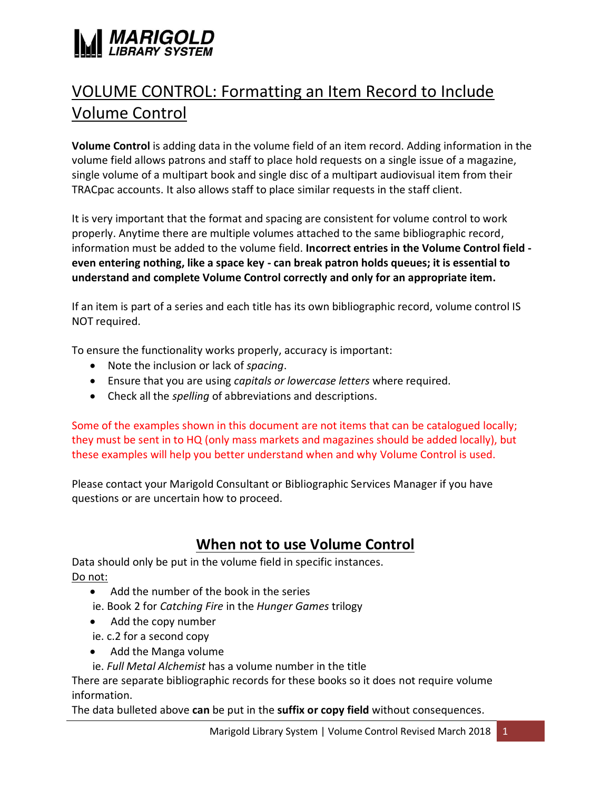

# VOLUME CONTROL: Formatting an Item Record to Include Volume Control

**Volume Control** is adding data in the volume field of an item record. Adding information in the volume field allows patrons and staff to place hold requests on a single issue of a magazine, single volume of a multipart book and single disc of a multipart audiovisual item from their TRACpac accounts. It also allows staff to place similar requests in the staff client.

It is very important that the format and spacing are consistent for volume control to work properly. Anytime there are multiple volumes attached to the same bibliographic record, information must be added to the volume field. **Incorrect entries in the Volume Control field even entering nothing, like a space key - can break patron holds queues; it is essential to understand and complete Volume Control correctly and only for an appropriate item.** 

If an item is part of a series and each title has its own bibliographic record, volume control IS NOT required.

To ensure the functionality works properly, accuracy is important:

- Note the inclusion or lack of *spacing*.
- Ensure that you are using *capitals or lowercase letters* where required.
- Check all the *spelling* of abbreviations and descriptions.

Some of the examples shown in this document are not items that can be catalogued locally; they must be sent in to HQ (only mass markets and magazines should be added locally), but these examples will help you better understand when and why Volume Control is used.

Please contact your Marigold Consultant or Bibliographic Services Manager if you have questions or are uncertain how to proceed.

## **When not to use Volume Control**

Data should only be put in the volume field in specific instances. Do not:

- Add the number of the book in the series
- ie. Book 2 for *Catching Fire* in the *Hunger Games* trilogy
- Add the copy number
- ie. c.2 for a second copy
- Add the Manga volume
- ie. *Full Metal Alchemist* has a volume number in the title

There are separate bibliographic records for these books so it does not require volume information.

The data bulleted above **can** be put in the **suffix or copy field** without consequences.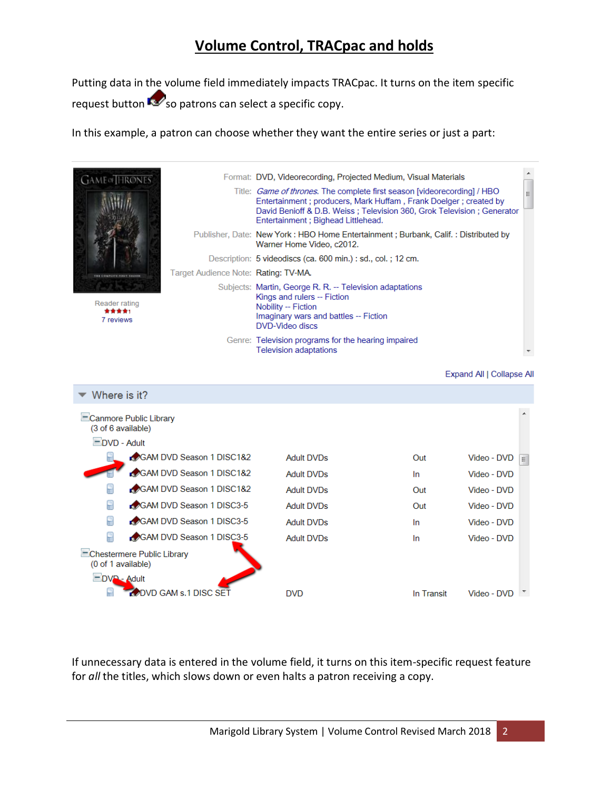## **Volume Control, TRACpac and holds**

Putting data in the volume field immediately impacts TRACpac. It turns on the item specific request button  $\sim$  so patrons can select a specific copy.

In this example, a patron can choose whether they want the entire series or just a part:



If unnecessary data is entered in the volume field, it turns on this item-specific request feature for *all* the titles, which slows down or even halts a patron receiving a copy.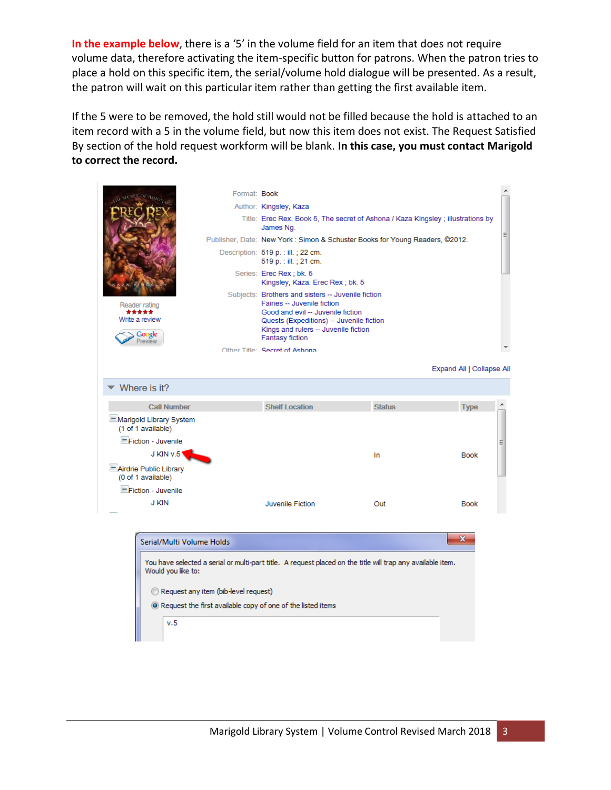In the example below, there is a '5' in the volume field for an item that does not require volume data, therefore activating the item-specific button for patrons. When the patron tries to place a hold on this specific item, the serial/volume hold dialogue will be presented. As a result, the patron will wait on this particular item rather than getting the first available item.

If the 5 were to be removed, the hold still would not be filled because the hold is attached to an item record with a 5 in the volume field, but now this item does not exist. The Request Satisfied By section of the hold request workform will be blank. **In this case, you must contact Marigold to correct the record.**



Request any item (bib-level request)

<sup>O</sup> Request the first available copy of one of the listed items

 $v.5$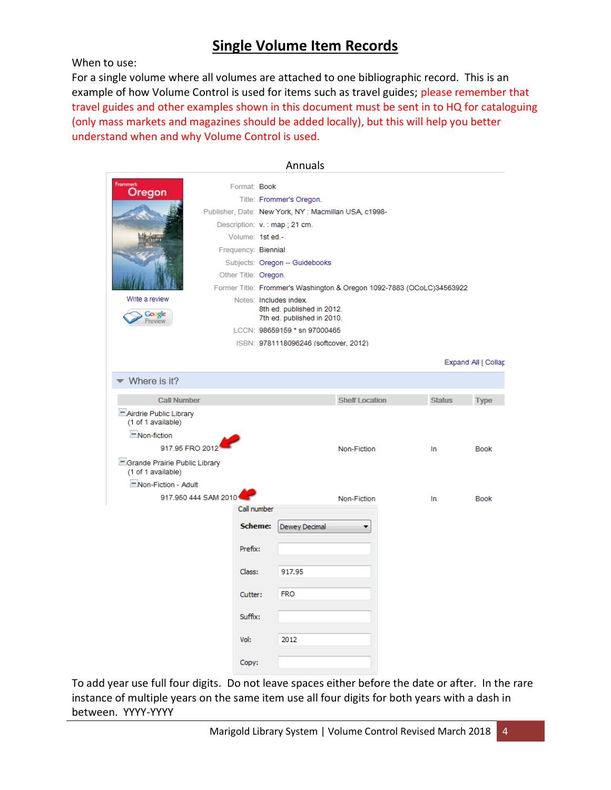## **Single Volume Item Records**

When to use:

For a single volume where all volumes are attached to one bibliographic record. This is an example of how Volume Control is used for items such as travel guides; please remember that travel guides and other examples shown in this document must be sent in to HQ for cataloguing (only mass markets and magazines should be added locally), but this will help you better understand when and why Volume Control is used.

|                                                     |                                |                                                      | Annuals                                                               |                       |  |               |                     |  |
|-----------------------------------------------------|--------------------------------|------------------------------------------------------|-----------------------------------------------------------------------|-----------------------|--|---------------|---------------------|--|
|                                                     | Format: Book                   |                                                      |                                                                       |                       |  |               |                     |  |
| Oregon                                              |                                |                                                      | Title: Frommer's Oregon.                                              |                       |  |               |                     |  |
|                                                     |                                | Publisher, Date: New York, NY: Macmillan USA, c1998- |                                                                       |                       |  |               |                     |  |
|                                                     | Description: v. : map ; 21 cm. |                                                      |                                                                       |                       |  |               |                     |  |
|                                                     | Volume: 1st ed.-               |                                                      |                                                                       |                       |  |               |                     |  |
|                                                     |                                | Frequency: Biennial                                  |                                                                       |                       |  |               |                     |  |
|                                                     |                                | Subjects: Oregon -- Guidebooks                       |                                                                       |                       |  |               |                     |  |
|                                                     |                                | Other Title: Oregon.                                 |                                                                       |                       |  |               |                     |  |
|                                                     |                                |                                                      | Former Title: Frommer's Washington & Oregon 1092-7883 (OCoLC)34563922 |                       |  |               |                     |  |
| Write a review                                      |                                |                                                      | Notes: Includes index.<br>8th ed. published in 2012.                  |                       |  |               |                     |  |
| Google<br>Preview                                   |                                |                                                      | 7th ed. published in 2010.                                            |                       |  |               |                     |  |
|                                                     |                                |                                                      | LCCN: 98659159 * sn 97000465                                          |                       |  |               |                     |  |
|                                                     |                                |                                                      | ISBN: 9781118096246 (softcover, 2012)                                 |                       |  |               |                     |  |
|                                                     |                                |                                                      |                                                                       |                       |  |               | Expand All   Collap |  |
| Where is it?                                        |                                |                                                      |                                                                       |                       |  |               |                     |  |
| <b>Call Number</b>                                  |                                |                                                      |                                                                       | <b>Shelf Location</b> |  | <b>Status</b> | <b>Type</b>         |  |
| -Airdrie Public Library<br>(1 of 1 available)       |                                |                                                      |                                                                       |                       |  |               |                     |  |
| -Non-fiction                                        |                                |                                                      |                                                                       |                       |  |               |                     |  |
| 917.95 FRO 2012                                     |                                |                                                      |                                                                       | Non-Fiction           |  | In            | <b>Book</b>         |  |
| Srande Prairie Public Library<br>(1 of 1 available) |                                |                                                      |                                                                       |                       |  |               |                     |  |
| Non-Fiction - Adult                                 |                                |                                                      |                                                                       |                       |  |               |                     |  |
| 917.950 444 SAM 2010                                |                                |                                                      |                                                                       | Non-Fiction           |  |               |                     |  |
|                                                     | Call number                    |                                                      |                                                                       |                       |  | In            | <b>Book</b>         |  |
|                                                     |                                |                                                      |                                                                       |                       |  |               |                     |  |
|                                                     | <b>Scheme:</b>                 |                                                      | Dewey Decimal                                                         | ۰                     |  |               |                     |  |
|                                                     | Prefix:                        |                                                      |                                                                       |                       |  |               |                     |  |
|                                                     |                                |                                                      |                                                                       |                       |  |               |                     |  |
|                                                     | Class:                         |                                                      | 917.95                                                                |                       |  |               |                     |  |
|                                                     | Cutter:                        |                                                      | <b>FRO</b>                                                            |                       |  |               |                     |  |
|                                                     | Suffix:                        |                                                      |                                                                       |                       |  |               |                     |  |
|                                                     | Vol:                           |                                                      | 2012                                                                  |                       |  |               |                     |  |
|                                                     | Copy:                          |                                                      |                                                                       |                       |  |               |                     |  |

To add year use full four digits. Do not leave spaces either before the date or after. In the rare instance of multiple years on the same item use all four digits for both years with a dash in between. YYYY-YYYY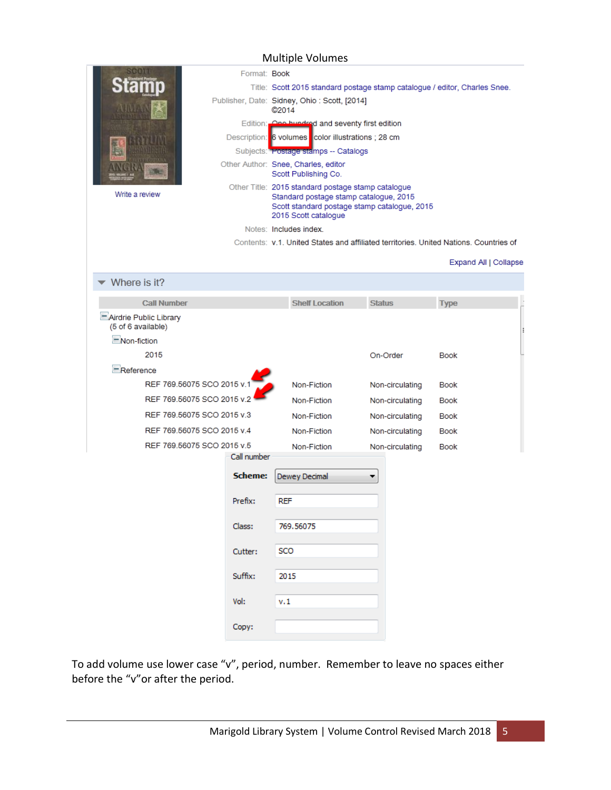#### Multiple Volumes

|                                              | Format: Book |                                                                                                                                                                      |                 |                       |
|----------------------------------------------|--------------|----------------------------------------------------------------------------------------------------------------------------------------------------------------------|-----------------|-----------------------|
|                                              |              | Title: Scott 2015 standard postage stamp catalogue / editor, Charles Snee.                                                                                           |                 |                       |
|                                              |              | Publisher, Date: Sidney, Ohio: Scott, [2014]<br>©2014                                                                                                                |                 |                       |
|                                              |              | Edition: One hundred and seventy first edition                                                                                                                       |                 |                       |
|                                              |              | Description: 6 volumes color illustrations ; 28 cm                                                                                                                   |                 |                       |
|                                              |              | Subjects: <b>Fostage stamps -- Catalogs</b>                                                                                                                          |                 |                       |
|                                              |              | Other Author: Snee, Charles, editor<br>Scott Publishing Co.                                                                                                          |                 |                       |
| Write a review                               |              | Other Title: 2015 standard postage stamp catalogue<br>Standard postage stamp catalogue, 2015<br>Scott standard postage stamp catalogue, 2015<br>2015 Scott catalogue |                 |                       |
|                                              |              | Notes: Includes index.                                                                                                                                               |                 |                       |
|                                              |              | Contents: v.1. United States and affiliated territories. United Nations. Countries of                                                                                |                 |                       |
|                                              |              |                                                                                                                                                                      |                 | Expand All   Collapse |
| Where is it?                                 |              |                                                                                                                                                                      |                 |                       |
| <b>Call Number</b>                           |              | <b>Shelf Location</b>                                                                                                                                                | <b>Status</b>   | <b>Type</b>           |
| Airdrie Public Library<br>(5 of 6 available) |              |                                                                                                                                                                      |                 |                       |
| -Non-fiction                                 |              |                                                                                                                                                                      |                 |                       |
| 2015                                         |              |                                                                                                                                                                      | On-Order        | <b>Book</b>           |
| Reference                                    |              |                                                                                                                                                                      |                 |                       |
| REF 769.56075 SCO 2015 v.1                   |              | Non-Fiction                                                                                                                                                          | Non-circulating | <b>Book</b>           |
| REF 769.56075 SCO 2015 v.2                   |              | Non-Fiction                                                                                                                                                          | Non-circulating | Book                  |
| REF 769.56075 SCO 2015 v.3                   |              | Non-Fiction                                                                                                                                                          | Non-circulating | Book                  |
| REF 769.56075 SCO 2015 v.4                   |              | Non-Fiction                                                                                                                                                          | Non-circulating | Book                  |
| REF 769.56075 SCO 2015 v.5                   |              | Non-Fiction                                                                                                                                                          | Non-circulating | Book                  |
|                                              | Call number  |                                                                                                                                                                      |                 |                       |
|                                              | Scheme:      | Dewey Decimal                                                                                                                                                        | ▼               |                       |
|                                              | Prefix:      | <b>REF</b>                                                                                                                                                           |                 |                       |
|                                              | Class:       | 769.56075                                                                                                                                                            |                 |                       |
|                                              | Cutter:      | SCO                                                                                                                                                                  |                 |                       |
|                                              | Suffix:      | 2015                                                                                                                                                                 |                 |                       |
|                                              | Vol:         | v. 1                                                                                                                                                                 |                 |                       |
|                                              | Copy:        |                                                                                                                                                                      |                 |                       |

To add volume use lower case "v", period, number. Remember to leave no spaces either before the "v"or after the period.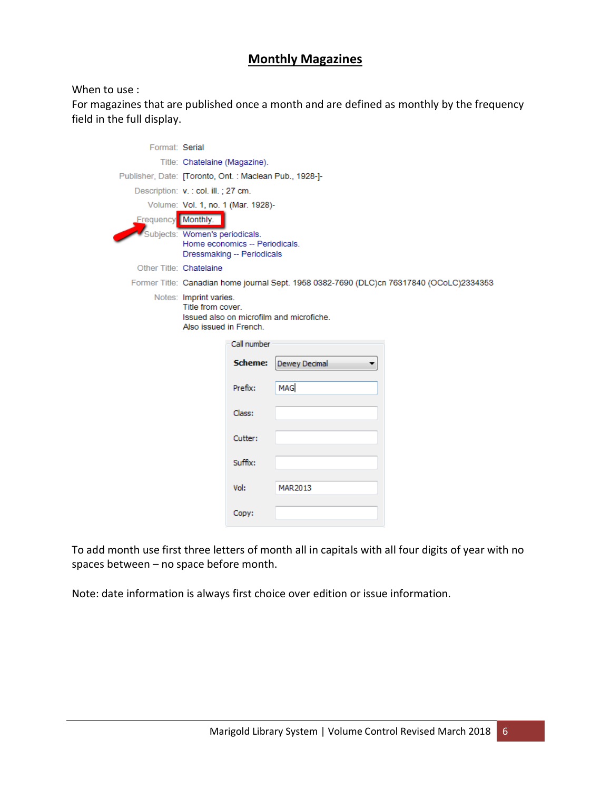## **Monthly Magazines**

#### When to use :

For magazines that are published once a month and are defined as monthly by the frequency field in the full display.

| Format: Serial          |                                                                                                                   |                                                                                          |  |  |  |
|-------------------------|-------------------------------------------------------------------------------------------------------------------|------------------------------------------------------------------------------------------|--|--|--|
|                         | Title: Chatelaine (Magazine).                                                                                     |                                                                                          |  |  |  |
|                         | Publisher, Date: [Toronto, Ont.: Maclean Pub., 1928-]-                                                            |                                                                                          |  |  |  |
|                         | Description: v. : col. ill. ; 27 cm.                                                                              |                                                                                          |  |  |  |
|                         | Volume: Vol. 1, no. 1 (Mar. 1928)-                                                                                |                                                                                          |  |  |  |
| Frequency Monthly.      |                                                                                                                   |                                                                                          |  |  |  |
|                         | Subjects: Women's periodicals.<br>Home economics -- Periodicals.<br>Dressmaking -- Periodicals                    |                                                                                          |  |  |  |
| Other Title: Chatelaine |                                                                                                                   |                                                                                          |  |  |  |
|                         |                                                                                                                   | Former Title: Canadian home journal Sept. 1958 0382-7690 (DLC)cn 76317840 (OCoLC)2334353 |  |  |  |
|                         | Notes: Imprint varies.<br>Title from cover.<br>Issued also on microfilm and microfiche.<br>Also issued in French. |                                                                                          |  |  |  |
|                         | Call number                                                                                                       |                                                                                          |  |  |  |
|                         | Scheme:                                                                                                           | Dewey Decimal                                                                            |  |  |  |
|                         | Prefix:                                                                                                           | <b>MAG</b>                                                                               |  |  |  |
|                         | Class:                                                                                                            |                                                                                          |  |  |  |
|                         | Cutter:                                                                                                           |                                                                                          |  |  |  |
|                         | Suffix:                                                                                                           |                                                                                          |  |  |  |
|                         | Vol:                                                                                                              | MAR2013                                                                                  |  |  |  |
|                         | Copy:                                                                                                             |                                                                                          |  |  |  |

To add month use first three letters of month all in capitals with all four digits of year with no spaces between – no space before month.

Note: date information is always first choice over edition or issue information.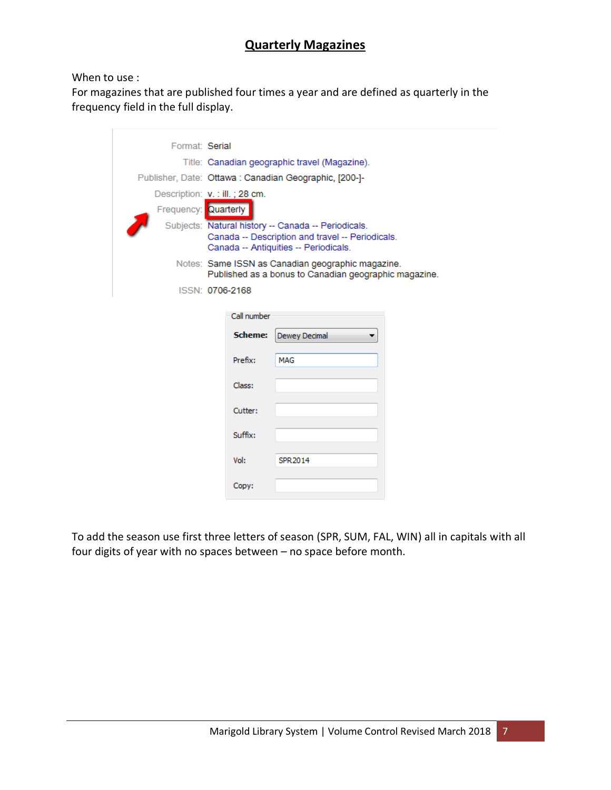## **Quarterly Magazines**

#### When to use :

Ē

For magazines that are published four times a year and are defined as quarterly in the frequency field in the full display.

| Format: Serial       |                                                                                                                                                  |                                                       |  |  |  |  |
|----------------------|--------------------------------------------------------------------------------------------------------------------------------------------------|-------------------------------------------------------|--|--|--|--|
|                      | Title: Canadian geographic travel (Magazine).                                                                                                    |                                                       |  |  |  |  |
|                      |                                                                                                                                                  | Publisher, Date: Ottawa: Canadian Geographic, [200-]- |  |  |  |  |
|                      | Description: v. : ill.; 28 cm.                                                                                                                   |                                                       |  |  |  |  |
| Frequency: Quarterly |                                                                                                                                                  |                                                       |  |  |  |  |
|                      | Subjects: Natural history -- Canada -- Periodicals.<br>Canada -- Description and travel -- Periodicals.<br>Canada -- Antiquities -- Periodicals. |                                                       |  |  |  |  |
|                      | Notes: Same ISSN as Canadian geographic magazine.<br>Published as a bonus to Canadian geographic magazine.                                       |                                                       |  |  |  |  |
|                      | ISSN: 0706-2168                                                                                                                                  |                                                       |  |  |  |  |
|                      |                                                                                                                                                  |                                                       |  |  |  |  |
|                      | Call number                                                                                                                                      |                                                       |  |  |  |  |
|                      | Scheme:                                                                                                                                          | Dewey Decimal                                         |  |  |  |  |
|                      | Prefix:                                                                                                                                          | <b>MAG</b>                                            |  |  |  |  |
|                      | Class:                                                                                                                                           |                                                       |  |  |  |  |
|                      | Cutter:                                                                                                                                          |                                                       |  |  |  |  |
|                      | Suffix:                                                                                                                                          |                                                       |  |  |  |  |
|                      | Vol:                                                                                                                                             | SPR 2014                                              |  |  |  |  |
|                      | Copy:                                                                                                                                            |                                                       |  |  |  |  |

To add the season use first three letters of season (SPR, SUM, FAL, WIN) all in capitals with all four digits of year with no spaces between – no space before month.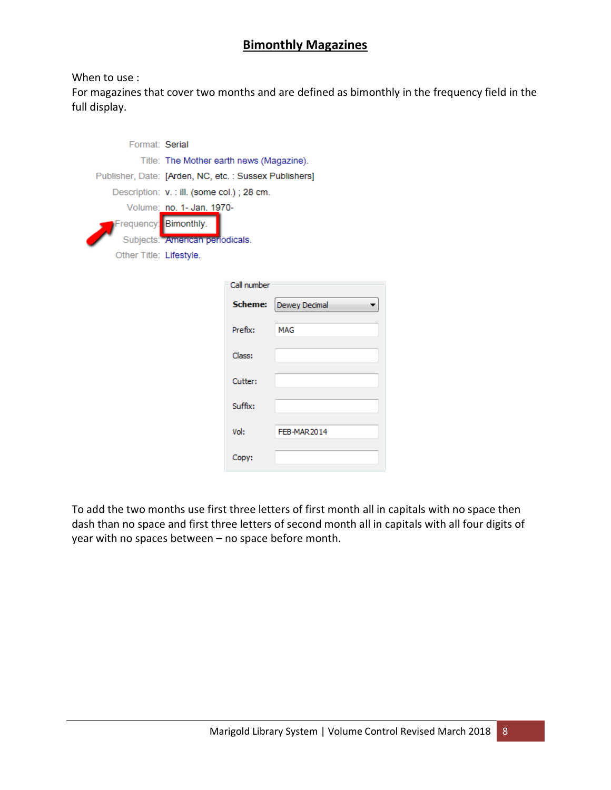## **Bimonthly Magazines**

#### When to use :

For magazines that cover two months and are defined as bimonthly in the frequency field in the full display.

| Format: Serial                                        |                                             |             |               |
|-------------------------------------------------------|---------------------------------------------|-------------|---------------|
|                                                       | Title: The Mother earth news (Magazine).    |             |               |
| Publisher, Date: [Arden, NC, etc.: Sussex Publishers] |                                             |             |               |
|                                                       | Description: v. : ill. (some col.) ; 28 cm. |             |               |
|                                                       | Volume: no. 1- Jan. 1970-                   |             |               |
| Frequency: Bimonthly.                                 |                                             |             |               |
|                                                       | Subjects: American periodicals.             |             |               |
| Other Title: Lifestyle.                               |                                             |             |               |
|                                                       |                                             |             |               |
|                                                       |                                             | Call number |               |
|                                                       |                                             | Scheme:     | Dewey Decimal |
|                                                       |                                             | Prefix:     | <b>MAG</b>    |
|                                                       |                                             | Class:      |               |
|                                                       |                                             | Cutter:     |               |
|                                                       |                                             | Suffix:     |               |
|                                                       |                                             | Vol:        | FEB-MAR2014   |
|                                                       |                                             | Copy:       |               |

To add the two months use first three letters of first month all in capitals with no space then dash than no space and first three letters of second month all in capitals with all four digits of year with no spaces between – no space before month.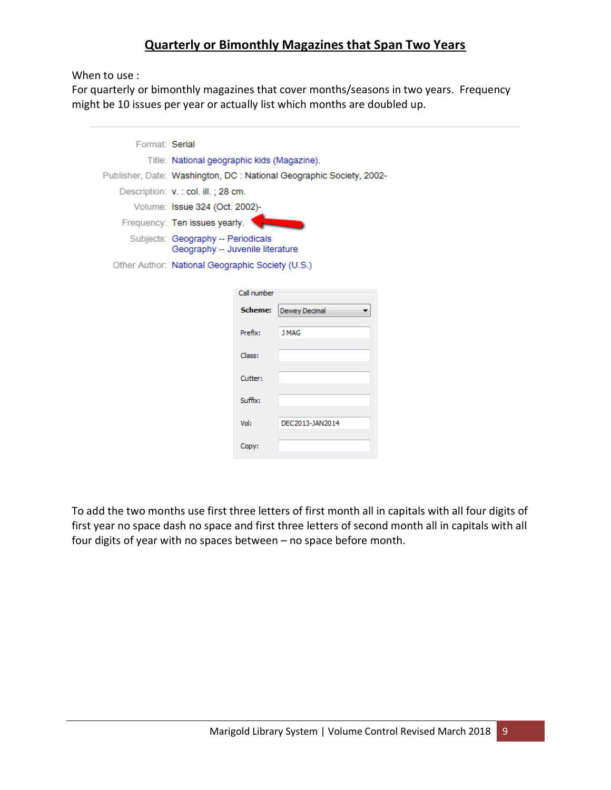## **Quarterly or Bimonthly Magazines that Span Two Years**

When to use :

For quarterly or bimonthly magazines that cover months/seasons in two years. Frequency might be 10 issues per year or actually list which months are doubled up.

| Format: Serial |                                                                        |             |                                                                      |  |  |
|----------------|------------------------------------------------------------------------|-------------|----------------------------------------------------------------------|--|--|
|                | Title: National geographic kids (Magazine).                            |             |                                                                      |  |  |
|                |                                                                        |             | Publisher, Date: Washington, DC : National Geographic Society, 2002- |  |  |
|                | Description: v. : col. ill.; 28 cm.                                    |             |                                                                      |  |  |
|                | Volume: Issue 324 (Oct. 2002)-                                         |             |                                                                      |  |  |
|                | Frequency: Ten issues yearly.                                          |             |                                                                      |  |  |
|                | Subjects: Geography -- Periodicals<br>Geography -- Juvenile literature |             |                                                                      |  |  |
|                | Other Author: National Geographic Society (U.S.)                       |             |                                                                      |  |  |
|                |                                                                        |             |                                                                      |  |  |
|                |                                                                        | Call number |                                                                      |  |  |
|                |                                                                        | Scheme:     | Dewey Decimal                                                        |  |  |
|                |                                                                        | Prefix:     | <b>J MAG</b>                                                         |  |  |
|                |                                                                        | Class:      |                                                                      |  |  |
|                |                                                                        | Cutter:     |                                                                      |  |  |
|                |                                                                        | Suffix:     |                                                                      |  |  |
|                |                                                                        | Vol:        | DEC2013-JAN2014                                                      |  |  |
|                |                                                                        | Copy:       |                                                                      |  |  |

To add the two months use first three letters of first month all in capitals with all four digits of first year no space dash no space and first three letters of second month all in capitals with all four digits of year with no spaces between – no space before month.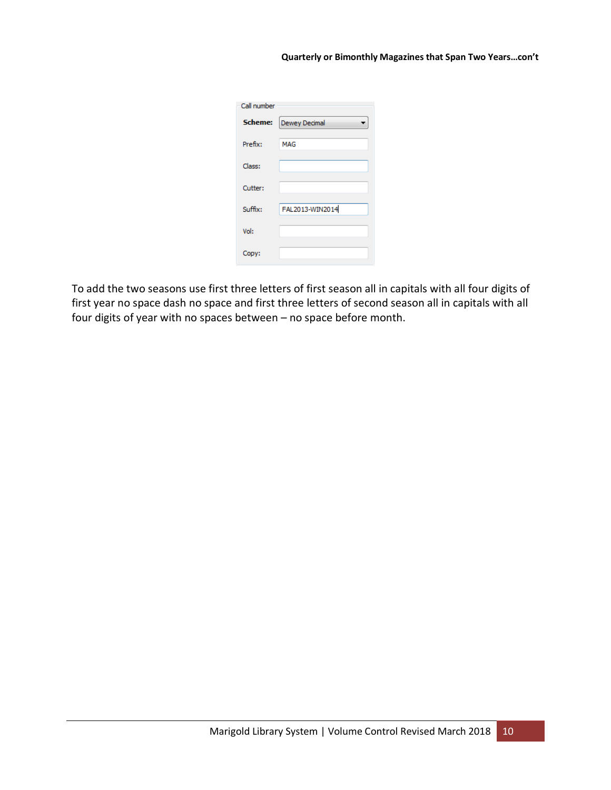| Call number |                 |
|-------------|-----------------|
| Scheme:     | Dewey Decimal   |
| Prefix:     | MAG             |
| Class:      |                 |
| Cutter:     |                 |
| Suffix:     | FAL2013-WIN2014 |
| Vol:        |                 |
| Copy:       |                 |

To add the two seasons use first three letters of first season all in capitals with all four digits of first year no space dash no space and first three letters of second season all in capitals with all four digits of year with no spaces between – no space before month.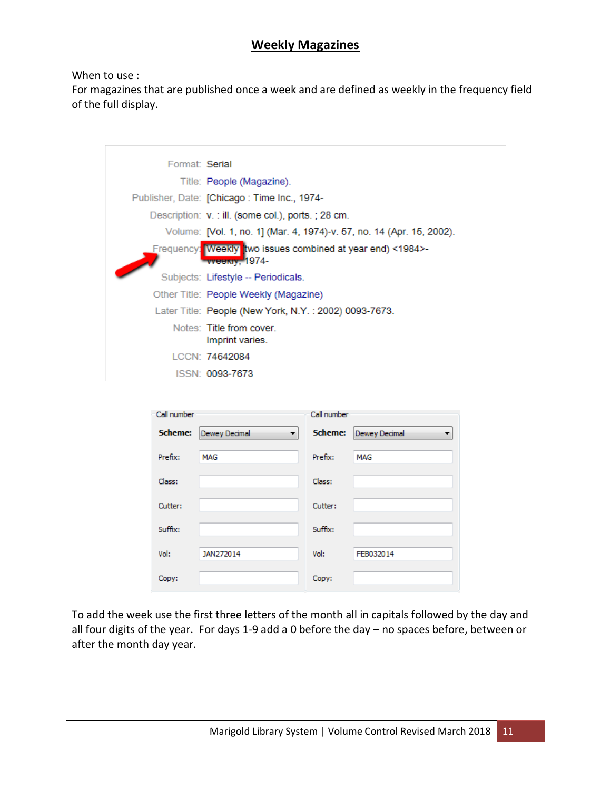### **Weekly Magazines**

When to use :

For magazines that are published once a week and are defined as weekly in the frequency field of the full display.

|             | Format: Serial                                                                      |             |                                                                       |
|-------------|-------------------------------------------------------------------------------------|-------------|-----------------------------------------------------------------------|
|             | Title: People (Magazine).                                                           |             |                                                                       |
|             | Publisher, Date: [Chicago: Time Inc., 1974-                                         |             |                                                                       |
|             | Description: v. : ill. (some col.), ports.; 28 cm.                                  |             |                                                                       |
|             |                                                                                     |             | Volume: [Vol. 1, no. 1] (Mar. 4, 1974)-v. 57, no. 14 (Apr. 15, 2002). |
|             | Frequency: Weekly two issues combined at year end) <1984>-<br><b>Eweekly, 1974-</b> |             |                                                                       |
|             | Subjects: Lifestyle -- Periodicals.                                                 |             |                                                                       |
|             | Other Title: People Weekly (Magazine)                                               |             |                                                                       |
|             | Later Title: People (New York, N.Y.: 2002) 0093-7673.                               |             |                                                                       |
|             | Notes: Title from cover.<br>Imprint varies.                                         |             |                                                                       |
|             | LCCN: 74642084                                                                      |             |                                                                       |
|             | ISSN: 0093-7673                                                                     |             |                                                                       |
|             |                                                                                     |             |                                                                       |
| Call number |                                                                                     | Call number |                                                                       |
| Scheme:     | Dewey Decimal                                                                       | Scheme:     | Dewey Decimal                                                         |
| Prefix:     | MAG                                                                                 | Prefix:     | MAG                                                                   |
| Class:      |                                                                                     | Class:      |                                                                       |
| Cutter:     |                                                                                     | Cutter:     |                                                                       |
| Suffix:     |                                                                                     | Suffix:     |                                                                       |
| Vol:        | JAN272014                                                                           | Vol:        | FEB032014                                                             |
| Copy:       |                                                                                     | Copy:       |                                                                       |

To add the week use the first three letters of the month all in capitals followed by the day and all four digits of the year. For days 1-9 add a 0 before the day – no spaces before, between or after the month day year.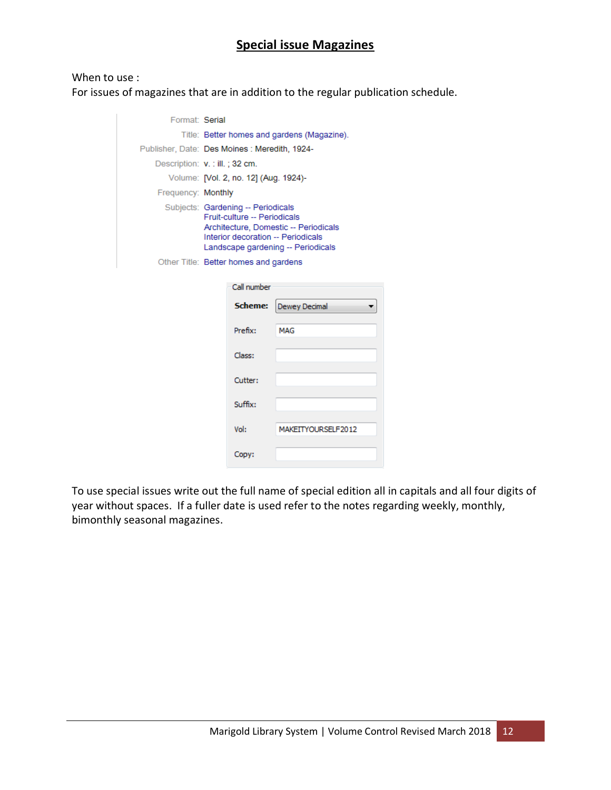## **Special issue Magazines**

#### When to use :

For issues of magazines that are in addition to the regular publication schedule.

| Format: Serial                 |                                                                                                                                                                                         |                                       |                    |  |  |  |
|--------------------------------|-----------------------------------------------------------------------------------------------------------------------------------------------------------------------------------------|---------------------------------------|--------------------|--|--|--|
|                                | Title: Better homes and gardens (Magazine).                                                                                                                                             |                                       |                    |  |  |  |
|                                | Publisher, Date: Des Moines : Meredith, 1924-                                                                                                                                           |                                       |                    |  |  |  |
| Description: v. : ill.; 32 cm. |                                                                                                                                                                                         |                                       |                    |  |  |  |
|                                |                                                                                                                                                                                         | Volume: [Vol. 2, no. 12] (Aug. 1924)- |                    |  |  |  |
| Frequency: Monthly             |                                                                                                                                                                                         |                                       |                    |  |  |  |
|                                | Subjects: Gardening -- Periodicals<br>Fruit-culture -- Periodicals<br>Architecture, Domestic -- Periodicals<br>Interior decoration -- Periodicals<br>Landscape gardening -- Periodicals |                                       |                    |  |  |  |
|                                |                                                                                                                                                                                         | Other Title: Better homes and gardens |                    |  |  |  |
|                                |                                                                                                                                                                                         | Call number                           |                    |  |  |  |
|                                |                                                                                                                                                                                         | Scheme:                               | Dewey Decimal      |  |  |  |
|                                |                                                                                                                                                                                         | Prefix:                               | <b>MAG</b>         |  |  |  |
|                                |                                                                                                                                                                                         | Class:                                |                    |  |  |  |
|                                |                                                                                                                                                                                         | Cutter:                               |                    |  |  |  |
|                                |                                                                                                                                                                                         | Suffix:                               |                    |  |  |  |
|                                |                                                                                                                                                                                         | Vol:                                  | MAKEITYOURSELF2012 |  |  |  |
|                                |                                                                                                                                                                                         |                                       |                    |  |  |  |
|                                |                                                                                                                                                                                         | Copy:                                 |                    |  |  |  |

To use special issues write out the full name of special edition all in capitals and all four digits of year without spaces. If a fuller date is used refer to the notes regarding weekly, monthly, bimonthly seasonal magazines.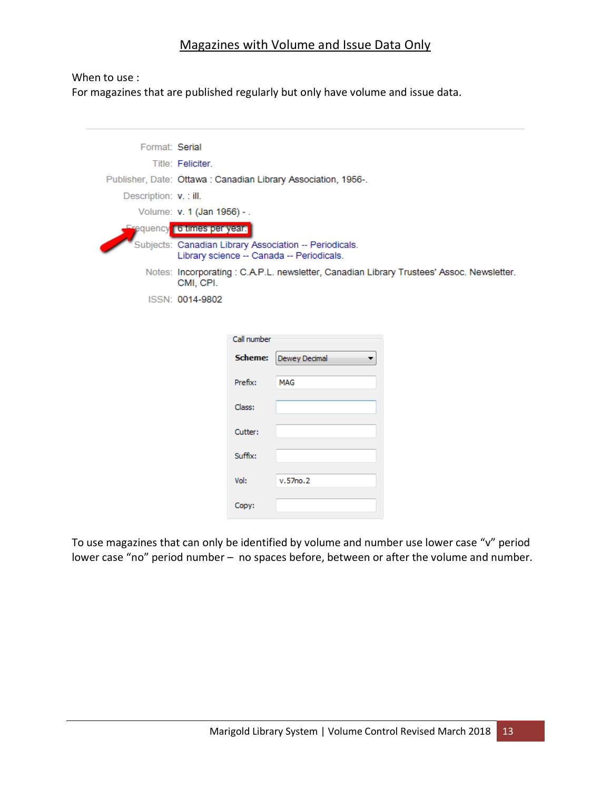### Magazines with Volume and Issue Data Only

#### When to use :

For magazines that are published regularly but only have volume and issue data.

| Format: Serial         |                                                                                                     |               |                                                                                          |
|------------------------|-----------------------------------------------------------------------------------------------------|---------------|------------------------------------------------------------------------------------------|
|                        | Title: Feliciter.                                                                                   |               |                                                                                          |
|                        | Publisher, Date: Ottawa: Canadian Library Association, 1956-.                                       |               |                                                                                          |
| Description: v. : ill. |                                                                                                     |               |                                                                                          |
|                        | Volume: v. 1 (Jan 1956) - .                                                                         |               |                                                                                          |
|                        | <b>Erequency 6 times per year.</b>                                                                  |               |                                                                                          |
|                        | Subjects: Canadian Library Association -- Periodicals.<br>Library science -- Canada -- Periodicals. |               |                                                                                          |
|                        | CMI, CPI.                                                                                           |               | Notes: Incorporating: C.A.P.L. newsletter, Canadian Library Trustees' Assoc. Newsletter. |
|                        | ISSN: 0014-9802                                                                                     |               |                                                                                          |
|                        |                                                                                                     |               |                                                                                          |
|                        |                                                                                                     |               |                                                                                          |
|                        | Call number                                                                                         |               |                                                                                          |
|                        | <b>Scheme:</b>                                                                                      | Dewey Decimal |                                                                                          |
|                        | Prefix:                                                                                             | MAG           |                                                                                          |
|                        | Class:                                                                                              |               |                                                                                          |
|                        | Cutter:                                                                                             |               |                                                                                          |
|                        | Suffix:                                                                                             |               |                                                                                          |
|                        | Vol:                                                                                                | v.57no.2      |                                                                                          |
|                        | Copy:                                                                                               |               |                                                                                          |

To use magazines that can only be identified by volume and number use lower case "v" period lower case "no" period number – no spaces before, between or after the volume and number.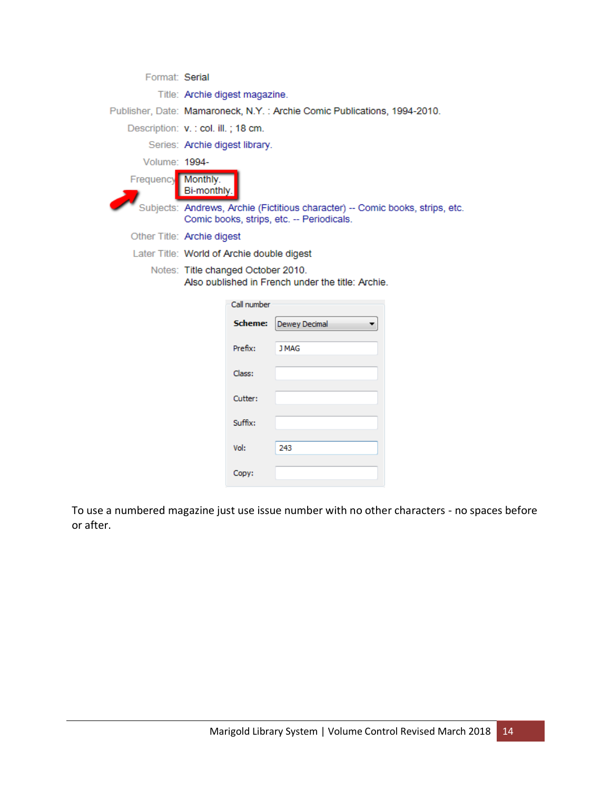| Format: Serial     |                                                                                         |                                                                                                                            |  |  |  |
|--------------------|-----------------------------------------------------------------------------------------|----------------------------------------------------------------------------------------------------------------------------|--|--|--|
|                    | Title: Archie digest magazine.                                                          |                                                                                                                            |  |  |  |
|                    |                                                                                         | Publisher, Date: Mamaroneck, N.Y. : Archie Comic Publications, 1994-2010.                                                  |  |  |  |
|                    | Description: v. : col. ill.; 18 cm.                                                     |                                                                                                                            |  |  |  |
|                    | Series: Archie digest library.                                                          |                                                                                                                            |  |  |  |
| Volume: 1994-      |                                                                                         |                                                                                                                            |  |  |  |
| Frequency Monthly. | Bi-monthly.                                                                             |                                                                                                                            |  |  |  |
|                    |                                                                                         | Subjects: Andrews, Archie (Fictitious character) -- Comic books, strips, etc.<br>Comic books, strips, etc. -- Periodicals. |  |  |  |
|                    | Other Title: Archie digest                                                              |                                                                                                                            |  |  |  |
|                    | Later Title: World of Archie double digest                                              |                                                                                                                            |  |  |  |
|                    | Notes: Title changed October 2010.<br>Also published in French under the title: Archie. |                                                                                                                            |  |  |  |
|                    | Call number                                                                             |                                                                                                                            |  |  |  |
|                    | Scheme:                                                                                 | Dewey Decimal                                                                                                              |  |  |  |
|                    | Prefix:                                                                                 | <b>J MAG</b>                                                                                                               |  |  |  |
|                    | Class:                                                                                  |                                                                                                                            |  |  |  |
|                    | Cutter:                                                                                 |                                                                                                                            |  |  |  |
|                    | Suffix:                                                                                 |                                                                                                                            |  |  |  |
|                    | Vol:                                                                                    | 243                                                                                                                        |  |  |  |
|                    | Copy:                                                                                   |                                                                                                                            |  |  |  |

To use a numbered magazine just use issue number with no other characters - no spaces before or after.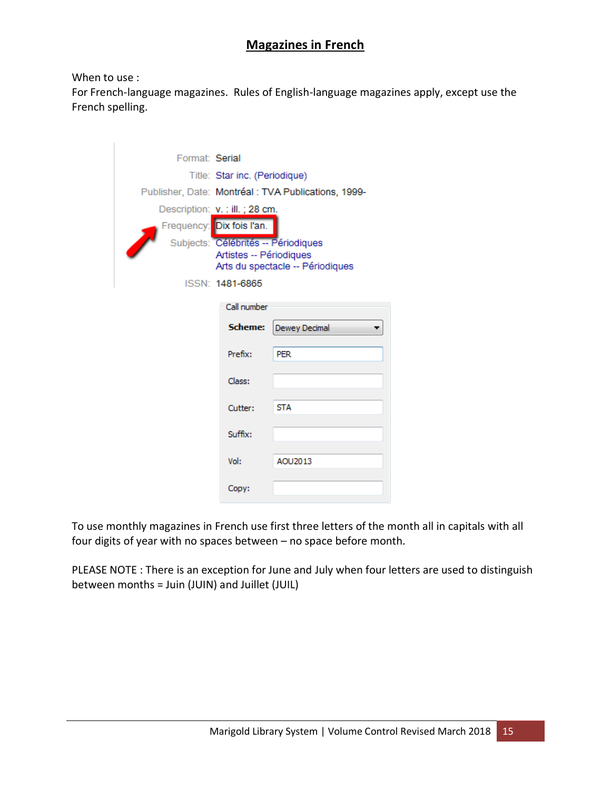## **Magazines in French**

#### When to use :

For French-language magazines. Rules of English-language magazines apply, except use the French spelling.

| Format: Serial |                                     |                                                     |  |  |  |
|----------------|-------------------------------------|-----------------------------------------------------|--|--|--|
|                | Title: Star inc. (Periodique)       |                                                     |  |  |  |
|                |                                     | Publisher, Date: Montréal : TVA Publications, 1999- |  |  |  |
|                | Description: v. : ill.; 28 cm.      |                                                     |  |  |  |
|                | Frequency: Dix fois l'an.           |                                                     |  |  |  |
|                | Subjects: Célébrités -- Périodiques |                                                     |  |  |  |
|                | Artistes -- Périodiques             |                                                     |  |  |  |
|                |                                     | Arts du spectacle -- Périodiques                    |  |  |  |
|                | ISSN: 1481-6865                     |                                                     |  |  |  |
|                | Call number                         |                                                     |  |  |  |
|                | Scheme:                             | Dewey Decimal                                       |  |  |  |
|                | Prefix:                             | <b>PER</b>                                          |  |  |  |
|                | Class:                              |                                                     |  |  |  |
|                | Cutter:                             | <b>STA</b>                                          |  |  |  |
|                | Suffix:                             |                                                     |  |  |  |
|                | Vol:                                | AOU2013                                             |  |  |  |
|                | Copy:                               |                                                     |  |  |  |

To use monthly magazines in French use first three letters of the month all in capitals with all four digits of year with no spaces between – no space before month.

PLEASE NOTE : There is an exception for June and July when four letters are used to distinguish between months = Juin (JUIN) and Juillet (JUIL)